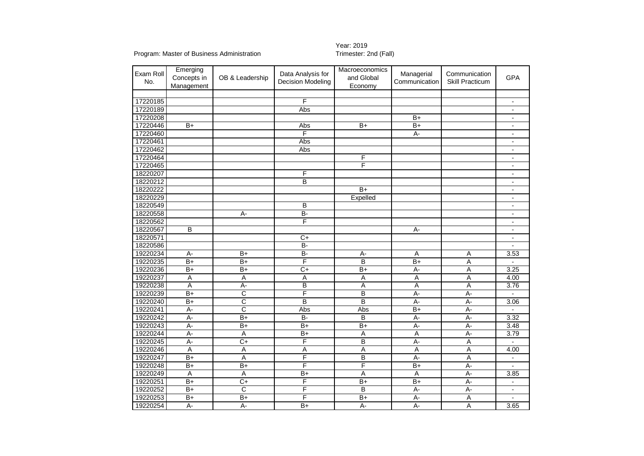## Program: Master of Business Administration

## Year: 2019<br>Trimester: 2nd (Fall)

| Exam Roll<br>No. | Emerging<br>Concepts in<br>Management | OB & Leadership       | Data Analysis for<br>Decision Modeling | Macroeconomics<br>and Global<br>Economy | Managerial<br>Communication | Communication<br><b>Skill Practicum</b> | <b>GPA</b>               |
|------------------|---------------------------------------|-----------------------|----------------------------------------|-----------------------------------------|-----------------------------|-----------------------------------------|--------------------------|
|                  |                                       |                       |                                        |                                         |                             |                                         |                          |
| 17220185         |                                       |                       | F                                      |                                         |                             |                                         | $\overline{\phantom{a}}$ |
| 17220189         |                                       |                       | Abs                                    |                                         |                             |                                         | $\overline{a}$           |
| 17220208         |                                       |                       |                                        |                                         | B+                          |                                         | $\overline{\phantom{a}}$ |
| 17220446         | $B+$                                  |                       | Abs                                    | $B+$                                    | B+                          |                                         | $\overline{\phantom{a}}$ |
| 17220460         |                                       |                       | F                                      |                                         | A-                          |                                         | $\overline{\phantom{a}}$ |
| 17220461         |                                       |                       | Abs                                    |                                         |                             |                                         | ÷,                       |
| 17220462         |                                       |                       | Abs                                    |                                         |                             |                                         | $\overline{\phantom{a}}$ |
| 17220464         |                                       |                       |                                        | F                                       |                             |                                         | $\blacksquare$           |
| 17220465         |                                       |                       |                                        | F                                       |                             |                                         | $\blacksquare$           |
| 18220207         |                                       |                       | F                                      |                                         |                             |                                         | $\blacksquare$           |
| 18220212         |                                       |                       | B                                      |                                         |                             |                                         | $\overline{\phantom{a}}$ |
| 18220222         |                                       |                       |                                        | $\overline{B+}$                         |                             |                                         | $\overline{\phantom{a}}$ |
| 18220229         |                                       |                       |                                        | Expelled                                |                             |                                         | $\blacksquare$           |
| 18220549         |                                       |                       | B                                      |                                         |                             |                                         | $\overline{\phantom{a}}$ |
| 18220558         |                                       | A-                    | $B -$                                  |                                         |                             |                                         | $\overline{\phantom{a}}$ |
| 18220562         |                                       |                       | F                                      |                                         |                             |                                         | $\overline{a}$           |
| 18220567         | $\overline{B}$                        |                       |                                        |                                         | А-                          |                                         | $\overline{\phantom{a}}$ |
| 18220571         |                                       |                       | $\overline{C+}$                        |                                         |                             |                                         | ÷,                       |
| 18220586         |                                       |                       | <b>B-</b>                              |                                         |                             |                                         | $\overline{\phantom{a}}$ |
| 19220234         | А-                                    | $B+$                  | B-                                     | А-                                      | Α                           | Α                                       | 3.53                     |
| 19220235         | $\overline{B+}$                       | $\overline{B+}$       | F                                      | B                                       | $\overline{B}$              | A                                       |                          |
| 19220236         | $B+$                                  | $B+$                  | $C+$                                   | $B+$                                    | $\overline{A}$ -            | Α                                       | 3.25                     |
| 19220237         | Α                                     | Α                     | Α                                      | Α                                       | Α                           | Α                                       | 4.00                     |
| 19220238         | $\overline{A}$                        | $A -$                 | $\overline{B}$                         | $\overline{A}$                          | $\overline{A}$              | $\overline{A}$                          | 3.76                     |
| 19220239         | $\overline{B+}$                       | $\overline{\text{c}}$ | F                                      | B                                       | $A -$                       | $A -$                                   |                          |
| 19220240         | $B+$                                  | $\overline{\text{c}}$ | B                                      | B                                       | A-                          | A-                                      | 3.06                     |
| 19220241         | А-                                    | $\overline{\text{c}}$ | Abs                                    | Abs                                     | $B+$                        | A-                                      |                          |
| 19220242         | $A -$                                 | $B+$                  | B-                                     | $\overline{B}$                          | $\overline{A}$ -            | $A -$                                   | 3.32                     |
| 19220243         | $A -$                                 | $\overline{B+}$       | $\overline{B+}$                        | $B+$                                    | A-                          | A-                                      | 3.48                     |
| 19220244         | $A -$                                 | Α                     | $B+$                                   | $\overline{A}$                          | A                           | A-                                      | 3.79                     |
| 19220245         | A-                                    | $\overline{C}$        | F                                      | $\overline{B}$                          | A-                          | Α                                       |                          |
| 19220246         | $\overline{A}$                        | Α                     | $\overline{A}$                         | $\overline{A}$                          | A                           | A                                       | 4.00                     |
| 19220247         | $\overline{B+}$                       | A                     | F                                      | B                                       | A-                          | A                                       |                          |
| 19220248         | $B+$                                  | $\overline{B+}$       | F                                      | F                                       | $B+$                        | A-                                      | $\overline{\phantom{a}}$ |
| 19220249         | $\overline{A}$                        | Α                     | $\overline{B}$                         | $\overline{A}$                          | $\overline{A}$              | $A -$                                   | 3.85                     |
| 19220251         | $B+$                                  | $\overline{C+}$       | F                                      | $B+$                                    | $B+$                        | $A -$                                   |                          |
| 19220252         | $\overline{B+}$                       | $\overline{\text{c}}$ | F                                      | $\overline{B}$                          | A-                          | A-                                      | $\overline{a}$           |
| 19220253         | $B+$                                  | $\overline{B+}$       | F                                      | $\overline{B+}$                         | A-                          | A                                       |                          |
| 19220254         | $\overline{A}$ -                      | $A -$                 | $\overline{B+}$                        | $\overline{A}$ -                        | $\overline{A}$ -            | A                                       | 3.65                     |